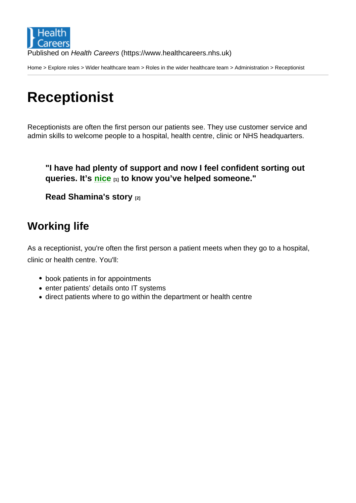Home > Explore roles > Wider healthcare team > Roles in the wider healthcare team > Administration > Receptionist

# **[Re](https://www.healthcareers.nhs.uk/)[ceptio](https://www.healthcareers.nhs.uk/explore-roles/explore-roles)[nist](https://www.healthcareers.nhs.uk/explore-roles/wider-healthcare-team)**

Receptionists are often the first person our patients see. They use customer service and admin skills to welcome people to a hospital, health centre, clinic or NHS headquarters.

"I have had plenty of support and now I feel confident sorting out queries. It's nice [1] to know you've helped someone."

Read Shamina's story [2]

#### Wo[rking life](https://www.healthcareers.nhs.uk/explore-roles/wider-healthcare-team/roles-wider-healthcare-team/administration/receptionist/real-life-story-shamina-akhtar)

As a receptionist, you're often the first person a patient meets when they go to a hospital, clinic or health centre. You'll:

- book patients in for appointments
- enter patients' details onto IT systems
- direct patients where to go within the department or health centre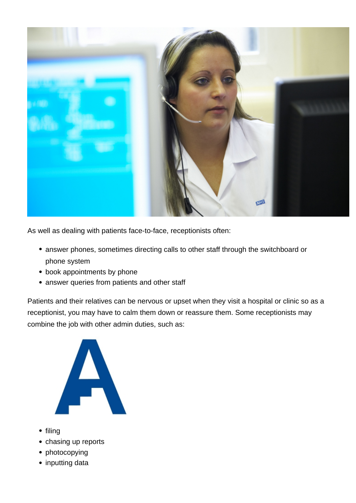

As well as dealing with patients face-to-face, receptionists often:

- answer phones, sometimes directing calls to other staff through the switchboard or phone system
- book appointments by phone
- answer queries from patients and other staff

Patients and their relatives can be nervous or upset when they visit a hospital or clinic so as a receptionist, you may have to calm them down or reassure them. Some receptionists may combine the job with other admin duties, such as:



- $\bullet$  filing
- chasing up reports
- photocopying
- inputting data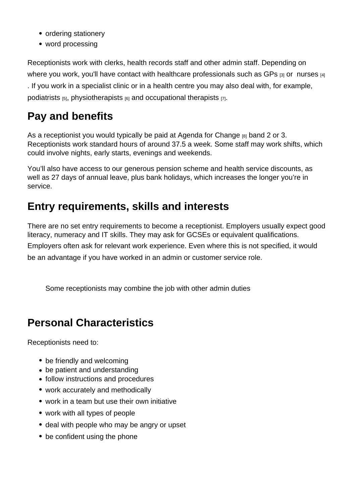- ordering stationery
- word processing

Receptionists work with clerks, health records staff and other admin staff. Depending on where you work, you'll have contact with healthcare professionals such as GPs [3] or nurses [4] . If you work in a specialist clinic or in a health centre you may also deal with, for example, podiatrists  $[5]$ , physiotherapists  $[6]$  and occupational therapists  $[7]$ .

## Pay and benefits

As a receptionist you would typically be paid at Agenda for Change  $_{[8]}$  band 2 or 3. Receptionists work standard hours of around 37.5 a week. Some staff may work shifts, which could involve nights, early starts, evenings and weekends.

You'll also have access to our generous pensio[n scheme and health](https://www.healthcareers.nhs.uk/working-health/working-nhs/nhs-pay-and-benefits/agenda-change-pay-rates/agenda-change-pay-rates) service discounts, as well as 27 days of annual leave, plus bank holidays, which increases the longer you're in service.

#### Entry requirements, skills and interests

There are no set entry requirements to become a receptionist. Employers usually expect good literacy, numeracy and IT skills. They may ask for GCSEs or equivalent qualifications. Employers often ask for relevant work experience. Even where this is not specified, it would be an advantage if you have worked in an admin or customer service role.

Some receptionists may combine the job with other admin duties

## Personal Characteristics

Receptionists need to:

- be friendly and welcoming
- be patient and understanding
- follow instructions and procedures
- work accurately and methodically
- work in a team but use their own initiative
- work with all types of people
- deal with people who may be angry or upset
- be confident using the phone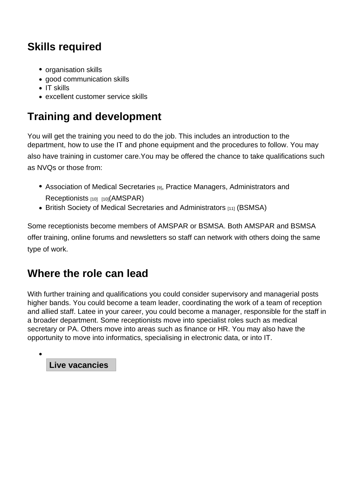## Skills required

- organisation skills
- good communication skills
- $\bullet$  IT skills
- excellent customer service skills

## Training and development

You will get the training you need to do the job. This includes an introduction to the department, how to use the IT and phone equipment and the procedures to follow. You may also have training in customer care.You may be offered the chance to take qualifications such as NVQs or those from:

- Association of Medical Secretaries [9], Practice Managers, Administrators and Receptionists [10] [10](AMSPAR)
- British Society of Medical Secretaries and Administrators [11] (BSMSA)

Som[e receptionists](http://www.amspar.com) b[ec](http://www.amspar.com)ome members of AMSPAR or BSMSA. Both AMSPAR and BSMSA offer [training, online forums and newsletters so staff can netwo](http://www.bsmsa.org.uk)rk with others doing the same type of work.

#### Where the role can lead

With further training and qualifications you could consider supervisory and managerial posts higher bands. You could become a team leader, coordinating the work of a team of reception and allied staff. Latee in your career, you could become a manager, responsible for the staff in a broader department. Some receptionists move into specialist roles such as medical secretary or PA. Others move into areas such as finance or HR. You may also have the opportunity to move into informatics, specialising in electronic data, or into IT.

Live vacancies